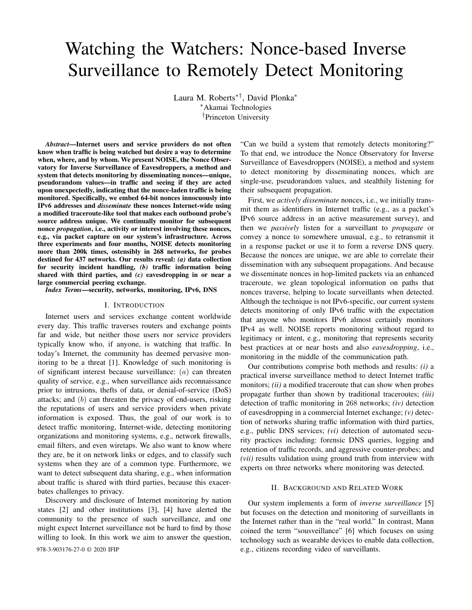# Watching the Watchers: Nonce-based Inverse Surveillance to Remotely Detect Monitoring

Laura M. Roberts∗†, David Plonka<sup>∗</sup> <sup>∗</sup>Akamai Technologies †Princeton University

*Abstract*—Internet users and service providers do not often know when traffic is being watched but desire a way to determine when, where, and by whom. We present NOISE, the Nonce Observatory for Inverse Surveillance of Eavesdroppers, a method and system that detects monitoring by disseminating nonces—unique, pseudorandom values—in traffic and seeing if they are acted upon unexpectedly, indicating that the nonce-laden traffic is being monitored. Specifically, we embed 64-bit nonces innocuously into IPv6 addresses and *disseminate* these nonces Internet-wide using a modified traceroute-like tool that makes each outbound probe's source address unique. We continually monitor for subsequent nonce *propagation*, i.e., activity or interest involving these nonces, e.g., via packet capture on our system's infrastructure. Across three experiments and four months, NOISE detects monitoring more than 200k times, ostensibly in 268 networks, for probes destined for 437 networks. Our results reveal: *(a)* data collection for security incident handling, *(b)* traffic information being shared with third parties, and *(c)* eavesdropping in or near a large commercial peering exchange.

*Index Terms*—security, networks, monitoring, IPv6, DNS

# I. INTRODUCTION

Internet users and services exchange content worldwide every day. This traffic traverses routers and exchange points far and wide, but neither those users nor service providers typically know who, if anyone, is watching that traffic. In today's Internet, the community has deemed pervasive monitoring to be a threat [1]. Knowledge of such monitoring is of significant interest because surveillance:  $(a)$  can threaten quality of service, e.g., when surveillance aids reconnaissance prior to intrusions, thefts of data, or denial-of-service (DoS) attacks; and  $(b)$  can threaten the privacy of end-users, risking the reputations of users and service providers when private information is exposed. Thus, the goal of our work is to detect traffic monitoring, Internet-wide, detecting monitoring organizations and monitoring systems, e.g., network firewalls, email filters, and even wiretaps. We also want to know where they are, be it on network links or edges, and to classify such systems when they are of a common type. Furthermore, we want to detect subsequent data sharing, e.g., when information about traffic is shared with third parties, because this exacerbates challenges to privacy.

Discovery and disclosure of Internet monitoring by nation states [2] and other institutions [3], [4] have alerted the community to the presence of such surveillance, and one might expect Internet surveillance not be hard to find by those willing to look. In this work we aim to answer the question,

"Can we build a system that remotely detects monitoring?" To that end, we introduce the Nonce Observatory for Inverse Surveillance of Eavesdroppers (NOISE), a method and system to detect monitoring by disseminating nonces, which are single-use, pseudorandom values, and stealthily listening for their subsequent propagation.

First, we *actively disseminate* nonces, i.e., we initially transmit them as identifiers in Internet traffic (e.g., as a packet's IPv6 source address in an active measurement survey), and then we *passively* listen for a surveillant to *propagate* or convey a nonce to somewhere unusual, e.g., to retransmit it in a response packet or use it to form a reverse DNS query. Because the nonces are unique, we are able to correlate their dissemination with any subsequent propagations. And because we disseminate nonces in hop-limited packets via an enhanced traceroute, we glean topological information on paths that nonces traverse, helping to locate surveillants when detected. Although the technique is not IPv6-specific, our current system detects monitoring of only IPv6 traffic with the expectation that anyone who monitors IPv6 almost certainly monitors IPv4 as well. NOISE reports monitoring without regard to legitimacy or intent, e.g., monitoring that represents security best practices at or near hosts and also *eavesdropping*, i.e., monitoring in the middle of the communication path.

Our contributions comprise both methods and results: *(i)* a practical inverse surveillance method to detect Internet traffic monitors; *(ii)* a modified traceroute that can show when probes propagate further than shown by traditional traceroutes; *(iii)* detection of traffic monitoring in 268 networks; *(iv)* detection of eavesdropping in a commercial Internet exchange; *(v)* detection of networks sharing traffic information with third parties, e.g., public DNS services; *(vi)* detection of automated security practices including: forensic DNS queries, logging and retention of traffic records, and aggressive counter-probes; and *(vii)* results validation using ground truth from interview with experts on three networks where monitoring was detected.

#### II. BACKGROUND AND RELATED WORK

Our system implements a form of *inverse surveillance* [5] but focuses on the detection and monitoring of surveillants in the Internet rather than in the "real world." In contrast, Mann coined the term "sousveillance" [6] which focuses on using technology such as wearable devices to enable data collection, 978-3-903176-27-0 © 2020 IFIP e.g., citizens recording video of surveillants.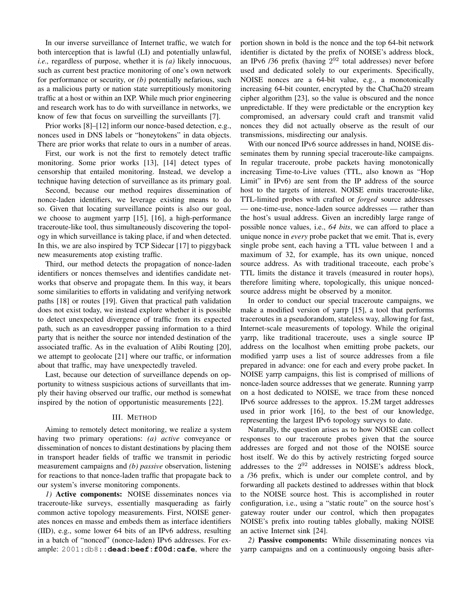In our inverse surveillance of Internet traffic, we watch for both interception that is lawful (LI) and potentially unlawful, *i.e.,* regardless of purpose, whether it is *(a)* likely innocuous, such as current best practice monitoring of one's own network for performance or security, or *(b)* potentially nefarious, such as a malicious party or nation state surreptitiously monitoring traffic at a host or within an IXP. While much prior engineering and research work has to do with surveillance in networks, we know of few that focus on surveilling the surveillants [7].

Prior works [8]–[12] inform our nonce-based detection, e.g., nonces used in DNS labels or "honeytokens" in data objects. There are prior works that relate to ours in a number of areas.

First, our work is not the first to remotely detect traffic monitoring. Some prior works [13], [14] detect types of censorship that entailed monitoring. Instead, we develop a technique having detection of surveillance as its primary goal.

Second, because our method requires dissemination of nonce-laden identifiers, we leverage existing means to do so. Given that locating surveillance points is also our goal, we choose to augment yarrp [15], [16], a high-performance traceroute-like tool, thus simultaneously discovering the topology in which surveillance is taking place, if and when detected. In this, we are also inspired by TCP Sidecar [17] to piggyback new measurements atop existing traffic.

Third, our method detects the propagation of nonce-laden identifiers or nonces themselves and identifies candidate networks that observe and propagate them. In this way, it bears some similarities to efforts in validating and verifying network paths [18] or routes [19]. Given that practical path validation does not exist today, we instead explore whether it is possible to detect unexpected divergence of traffic from its expected path, such as an eavesdropper passing information to a third party that is neither the source nor intended destination of the associated traffic. As in the evaluation of Alibi Routing [20], we attempt to geolocate [21] where our traffic, or information about that traffic, may have unexpectedly traveled.

Last, because our detection of surveillance depends on opportunity to witness suspicious actions of surveillants that imply their having observed our traffic, our method is somewhat inspired by the notion of opportunistic measurements [22].

## III. METHOD

Aiming to remotely detect monitoring, we realize a system having two primary operations: *(a) active* conveyance or dissemination of nonces to distant destinations by placing them in transport header fields of traffic we transmit in periodic measurement campaigns and *(b) passive* observation, listening for reactions to that nonce-laden traffic that propagate back to our system's inverse monitoring components.

*1)* Active components: NOISE disseminates nonces via traceroute-like surveys, essentially masquerading as fairly common active topology measurements. First, NOISE generates nonces en masse and embeds them as interface identifiers (IID), e.g., some lower 64 bits of an IPv6 address, resulting in a batch of "nonced" (nonce-laden) IPv6 addresses. For example: 2001:db8::**dead:beef:f00d:cafe**, where the portion shown in bold is the nonce and the top 64-bit network identifier is dictated by the prefix of NOISE's address block, an IPv6 /36 prefix (having  $2^{92}$  total addresses) never before used and dedicated solely to our experiments. Specifically, NOISE nonces are a 64-bit value, e.g., a monotonically increasing 64-bit counter, encrypted by the ChaCha20 stream cipher algorithm [23], so the value is obscured and the nonce unpredictable. If they were predictable or the encryption key compromised, an adversary could craft and transmit valid nonces they did not actually observe as the result of our transmissions, misdirecting our analysis.

With our nonced IPv6 source addresses in hand, NOISE disseminates them by running special traceroute-like campaigns. In regular traceroute, probe packets having monotonically increasing Time-to-Live values (TTL, also known as "Hop Limit" in IPv6) are sent from the IP address of the source host to the targets of interest. NOISE emits traceroute-like, TTL-limited probes with crafted or *forged* source addresses — one-time-use, nonce-laden source addresses — rather than the host's usual address. Given an incredibly large range of possible nonce values, i.e., *64 bits*, we can afford to place a unique nonce in *every* probe packet that we emit. That is, every single probe sent, each having a TTL value between 1 and a maximum of 32, for example, has its own unique, nonced source address. As with traditional traceoute, each probe's TTL limits the distance it travels (measured in router hops), therefore limiting where, topologically, this unique noncedsource address might be observed by a monitor.

In order to conduct our special traceroute campaigns, we make a modified version of yarrp [15], a tool that performs traceroutes in a pseudorandom, stateless way, allowing for fast, Internet-scale measurements of topology. While the original yarrp, like traditional traceroute, uses a single source IP address on the localhost when emitting probe packets, our modified yarrp uses a list of source addresses from a file prepared in advance: one for each and every probe packet. In NOISE yarrp campaigns, this list is comprised of millions of nonce-laden source addresses that we generate. Running yarrp on a host dedicated to NOISE, we trace from these nonced IPv6 source addresses to the approx. 15.2M target addresses used in prior work [16], to the best of our knowledge, representing the largest IPv6 topology surveys to date.

Naturally, the question arises as to how NOISE can collect responses to our traceroute probes given that the source addresses are forged and not those of the NOISE source host itself. We do this by actively restricting forged source addresses to the  $2^{92}$  addresses in NOISE's address block, a /36 prefix, which is under our complete control, and by forwarding all packets destined to addresses within that block to the NOISE source host. This is accomplished in router configuration, i.e., using a "static route" on the source host's gateway router under our control, which then propagates NOISE's prefix into routing tables globally, making NOISE an active Internet sink [24].

*2)* Passive components: While disseminating nonces via yarrp campaigns and on a continuously ongoing basis after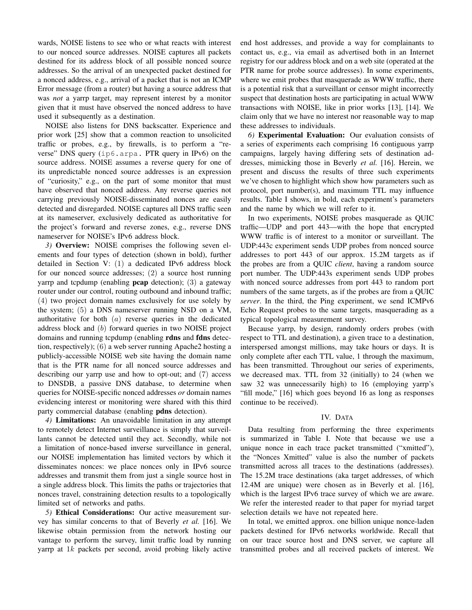wards, NOISE listens to see who or what reacts with interest to our nonced source addresses. NOISE captures all packets destined for its address block of all possible nonced source addresses. So the arrival of an unexpected packet destined for a nonced address, e.g., arrival of a packet that is not an ICMP Error message (from a router) but having a source address that was *not* a yarrp target, may represent interest by a monitor given that it must have observed the nonced address to have used it subsequently as a destination.

NOISE also listens for DNS backscatter. Experience and prior work [25] show that a common reaction to unsolicited traffic or probes, e.g., by firewalls, is to perform a "reverse" DNS query (ip6.arpa. PTR query in IPv6) on the source address. NOISE assumes a reverse query for one of its unpredictable nonced source addresses is an expression of "curiosity," e.g., on the part of some monitor that must have observed that nonced address. Any reverse queries not carrying previously NOISE-disseminated nonces are easily detected and disregarded. NOISE captures all DNS traffic seen at its nameserver, exclusively dedicated as authoritative for the project's forward and reverse zones, e.g., reverse DNS nameserver for NOISE's IPv6 address block.

*3)* Overview: NOISE comprises the following seven elements and four types of detection (shown in bold), further detailed in Section V: (1) a dedicated IPv6 address block for our nonced source addresses; (2) a source host running yarrp and tcpdump (enabling **pcap** detection); (3) a gateway router under our control, routing outbound and inbound traffic; (4) two project domain names exclusively for use solely by the system; (5) a DNS nameserver running NSD on a VM, authoritative for both  $(a)$  reverse queries in the dedicated address block and (b) forward queries in two NOISE project domains and running tcpdump (enabling rdns and fdns detection, respectively); (6) a web server running Apache2 hosting a publicly-accessible NOISE web site having the domain name that is the PTR name for all nonced source addresses and describing our yarrp use and how to opt-out; and (7) access to DNSDB, a passive DNS database, to determine when queries for NOISE-specific nonced addresses *or* domain names evidencing interest or monitoring were shared with this third party commercial database (enabling pdns detection).

*4)* Limitations: An unavoidable limitation in any attempt to remotely detect Internet surveillance is simply that surveillants cannot be detected until they act. Secondly, while not a limitation of nonce-based inverse surveillance in general, our NOISE implementation has limited vectors by which it disseminates nonces: we place nonces only in IPv6 source addresses and transmit them from just a single source host in a single address block. This limits the paths or trajectories that nonces travel, constraining detection results to a topologically limited set of networks and paths.

*5)* Ethical Considerations: Our active measurement survey has similar concerns to that of Beverly *et al.* [16]. We likewise obtain permission from the network hosting our vantage to perform the survey, limit traffic load by running yarrp at 1k packets per second, avoid probing likely active end host addresses, and provide a way for complainants to contact us, e.g., via email as advertised both in an Internet registry for our address block and on a web site (operated at the PTR name for probe source addresses). In some experiments, where we emit probes that masquerade as WWW traffic, there is a potential risk that a surveillant or censor might incorrectly suspect that destination hosts are participating in actual WWW transactions with NOISE, like in prior works [13], [14]. We claim only that we have no interest nor reasonable way to map these addresses to individuals.

*6)* Experimental Evaluation: Our evaluation consists of a series of experiments each comprising 16 contiguous yarrp campaigns, largely having differing sets of destination addresses, mimicking those in Beverly *et al.* [16]. Herein, we present and discuss the results of three such experiments we've chosen to highlight which show how parameters such as protocol, port number(s), and maximum TTL may influence results. Table I shows, in bold, each experiment's parameters and the name by which we will refer to it.

In two experiments, NOISE probes masquerade as QUIC traffic—UDP and port 443—with the hope that encrypted WWW traffic is of interest to a monitor or surveillant. The UDP:443c experiment sends UDP probes from nonced source addresses to port 443 of our approx. 15.2M targets as if the probes are from a QUIC *client*, having a random source port number. The UDP:443s experiment sends UDP probes with nonced source addresses from port 443 to random port numbers of the same targets, as if the probes are from a QUIC *server*. In the third, the Ping experiment, we send ICMPv6 Echo Request probes to the same targets, masquerading as a typical topological measurement survey.

Because yarrp, by design, randomly orders probes (with respect to TTL and destination), a given trace to a destination, interspersed amongst millions, may take hours or days. It is only complete after each TTL value, 1 through the maximum, has been transmitted. Throughout our series of experiments, we decreased max. TTL from 32 (initially) to 24 (when we saw 32 was unnecessarily high) to 16 (employing yarrp's "fill mode," [16] which goes beyond 16 as long as responses continue to be received).

## IV. DATA

Data resulting from performing the three experiments is summarized in Table I. Note that because we use a unique nonce in each trace packet transmitted ("xmitted"), the "Nonces Xmitted" value is also the number of packets transmitted across all traces to the destinations (addresses). The 15.2M trace destinations (aka target addresses, of which 12.4M are unique) were chosen as in Beverly et al. [16], which is the largest IPv6 trace survey of which we are aware. We refer the interested reader to that paper for myriad target selection details we have not repeated here.

In total, we emitted approx. one billion unique nonce-laden packets destined for IPv6 networks worldwide. Recall that on our trace source host and DNS server, we capture all transmitted probes and all received packets of interest. We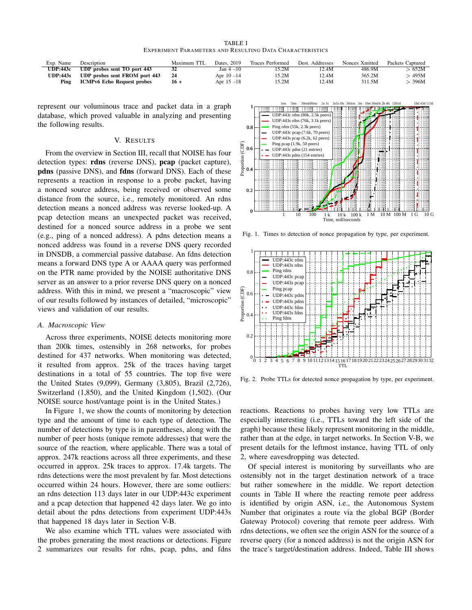TABLE I EXPERIMENT PARAMETERS AND RESULTING DATA CHARACTERISTICS

| Exp. Name       | Description                       | Maximum TTL | Dates, 2019   | <b>Traces Performed</b> | Dest. Addresses | Nonces Xmitted | Packets Captured |
|-----------------|-----------------------------------|-------------|---------------|-------------------------|-----------------|----------------|------------------|
| <b>UDP:443c</b> | UDP probes sent TO port 443       |             | $Jan 4-10$    | 15.2M                   | 12.4M           | 486.9M         | $-652M$          |
| <b>UDP:443s</b> | UDP probes sent FROM port 443     | 24          | Apr $10 - 14$ | 15.2M                   | 12.4M           | 365.2M         | · 495M           |
| Ping            | <b>ICMPv6 Echo Request probes</b> | $16+$       | Apr $15 - 18$ | 15.2M                   | 12.4M           | 311.5M         | 396M             |

represent our voluminous trace and packet data in a graph database, which proved valuable in analyzing and presenting the following results.

## V. RESULTS

From the overview in Section III, recall that NOISE has four detection types: rdns (reverse DNS), pcap (packet capture), pdns (passive DNS), and fdns (forward DNS). Each of these represents a reaction in response to a probe packet, having a nonced source address, being received or observed some distance from the source, i.e., remotely monitored. An rdns detection means a nonced address was reverse looked-up. A pcap detection means an unexpected packet was received, destined for a nonced source address in a probe we sent (e.g., ping of a nonced address). A pdns detection means a nonced address was found in a reverse DNS query recorded in DNSDB, a commercial passive database. An fdns detection means a forward DNS type A or AAAA query was performed on the PTR name provided by the NOISE authoritative DNS server as an answer to a prior reverse DNS query on a nonced address. With this in mind, we present a "macroscopic" view of our results followed by instances of detailed, "microscopic" views and validation of our results.

#### *A. Macroscopic View*

Across three experiments, NOISE detects monitoring more than 200k times, ostensibly in 268 networks, for probes destined for 437 networks. When monitoring was detected, it resulted from approx. 25k of the traces having target destinations in a total of 55 countries. The top five were the United States (9,099), Germany (3,805), Brazil (2,726), Switzerland (1,850), and the United Kingdom (1,502). (Our NOISE source host/vantage point is in the United States.)

In Figure 1, we show the counts of monitoring by detection type and the amount of time to each type of detection. The number of detections by type is in parentheses, along with the number of peer hosts (unique remote addresses) that were the source of the reaction, where applicable. There was a total of approx. 247k reactions across all three experiments, and these occurred in approx. 25k traces to approx. 17.4k targets. The rdns detections were the most prevalent by far. Most detections occurred within 24 hours. However, there are some outliers: an rdns detection 113 days later in our UDP:443c experiment and a pcap detection that happened 42 days later. We go into detail about the pdns detections from experiment UDP:443s that happened 18 days later in Section V-B.

We also examine which TTL values were associated with the probes generating the most reactions or detections. Figure



Fig. 1. Times to detection of nonce propagation by type, per experiment.



Fig. 2. Probe TTLs for detected nonce propagation by type, per experiment.

reactions. Reactions to probes having very low TTLs are especially interesting (i.e., TTLs toward the left side of the graph) because these likely represent monitoring in the middle, rather than at the edge, in target networks. In Section V-B, we present details for the leftmost instance, having TTL of only 2, where eavesdropping was detected.

Of special interest is monitoring by surveillants who are ostensibly not in the target destination network of a trace but rather somewhere in the middle. We report detection counts in Table II where the reacting remote peer address is identified by origin ASN, i.e., the Autonomous System Number that originates a route via the global BGP (Border Gateway Protocol) covering that remote peer address. With rdns detections, we often see the origin ASN for the source of a reverse query (for a nonced address) is not the origin ASN for the trace's target/destination address. Indeed, Table III shows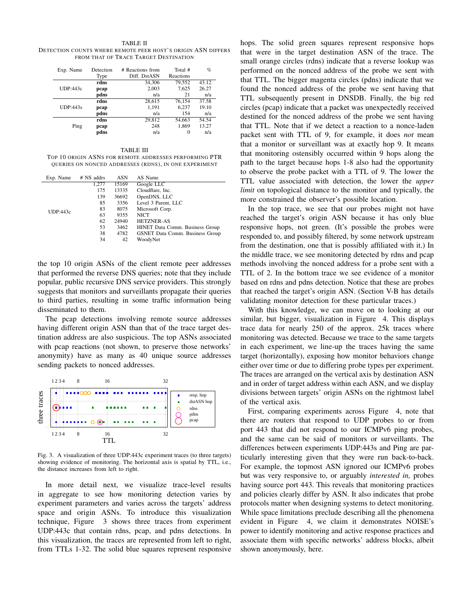TABLE II DETECTION COUNTS WHERE REMOTE PEER HOST'S ORIGIN ASN DIFFERS FROM THAT OF TRACE TARGET DESTINATION

| Exp. Name       | Detection<br>Type | # Reactions from<br>Diff. DstASN | Total #<br>Reactions | $\%$  |
|-----------------|-------------------|----------------------------------|----------------------|-------|
|                 | rdns              | 34.306                           | 79.552               | 43.12 |
| <b>UDP:443c</b> | pcap              | 2,003                            | 7,625                | 26.27 |
|                 | pdns              | n/a                              | 21                   | n/a   |
|                 | rdns              | 28,615                           | 76.154               | 37.58 |
| UDP:443s        | pcap              | 1,191                            | 6.237                | 19.10 |
|                 | pdns              | n/a                              | 154                  | n/a   |
|                 | rdns              | 29,812                           | 54,663               | 54.54 |
| Ping            | pcap              | 248                              | 1.869                | 13.27 |
|                 | pdns              | n/a                              | $\Omega$             | n/a   |

TABLE III

TOP 10 ORIGIN ASNS FOR REMOTE ADDRESSES PERFORMING PTR QUERIES ON NONCED ADDRESSES (RDNS), IN ONE EXPERIMENT

| Exp. Name | # NS addrs | <b>ASN</b> | AS Name                                |
|-----------|------------|------------|----------------------------------------|
|           | 1,277      | 15169      | Google LLC                             |
|           | 175        | 13335      | Cloudflare, Inc.                       |
|           | 139        | 36692      | OpenDNS, LLC                           |
|           | 85         | 3356       | Level 3 Parent, LLC                    |
| UDP:443c  | 83         | 8075       | Microsoft Corp.                        |
|           | 63         | 9355       | <b>NICT</b>                            |
|           | 62         | 24940      | <b>HETZNER-AS</b>                      |
|           | 53         | 3462       | HINET Data Comm. Business Group        |
|           | 38         | 4782       | <b>GSNET Data Comm. Business Group</b> |
|           | 34         | 42         | WoodyNet                               |
|           |            |            |                                        |

the top 10 origin ASNs of the client remote peer addresses that performed the reverse DNS queries; note that they include popular, public recursive DNS service providers. This strongly suggests that monitors and surveillants propagate their queries to third parties, resulting in some traffic information being disseminated to them.

The pcap detections involving remote source addresses having different origin ASN than that of the trace target destination address are also suspicious. The top ASNs associated with pcap reactions (not shown, to preserve those networks' anonymity) have as many as 40 unique source addresses sending packets to nonced addresses.



Fig. 3. A visualization of three UDP:443c experiment traces (to three targets) showing evidence of monitoring. The horizontal axis is spatial by TTL, i.e., the distance increases from left to right.

In more detail next, we visualize trace-level results in aggregate to see how monitoring detection varies by experiment parameters and varies across the targets' address space and origin ASNs. To introduce this visualization technique, Figure 3 shows three traces from experiment UDP:443c that contain rdns, pcap, and pdns detections. In this visualization, the traces are represented from left to right, from TTLs 1-32. The solid blue squares represent responsive hops. The solid green squares represent responsive hops that were in the target destination ASN of the trace. The small orange circles (rdns) indicate that a reverse lookup was performed on the nonced address of the probe we sent with that TTL. The bigger magenta circles (pdns) indicate that we found the nonced address of the probe we sent having that TTL subsequently present in DNSDB. Finally, the big red circles (pcap) indicate that a packet was unexpectedly received destined for the nonced address of the probe we sent having that TTL. Note that if we detect a reaction to a nonce-laden packet sent with TTL of 9, for example, it does *not* mean that a monitor or surveillant was at exactly hop 9. It means that monitoring ostensibly occurred within 9 hops along the path to the target because hops 1-8 also had the opportunity to observe the probe packet with a TTL of 9. The lower the TTL value associated with detection, the lower the *upper limit* on topological distance to the monitor and typically, the more constrained the observer's possible location.

In the top trace, we see that our probes might not have reached the target's origin ASN because it has only blue responsive hops, not green. (It's possible the probes were responded to, and possibly filtered, by some network upstream from the destination, one that is possibly affiliated with it.) In the middle trace, we see monitoring detected by rdns and pcap methods involving the nonced address for a probe sent with a TTL of 2. In the bottom trace we see evidence of a monitor based on rdns and pdns detection. Notice that these are probes that reached the target's origin ASN. (Section V-B has details validating monitor detection for these particular traces.)

With this knowledge, we can move on to looking at our similar, but bigger, visualization in Figure 4. This displays trace data for nearly 250 of the approx. 25k traces where monitoring was detected. Because we trace to the same targets in each experiment, we line-up the traces having the same target (horizontally), exposing how monitor behaviors change either over time or due to differing probe types per experiment. The traces are arranged on the vertical axis by destination ASN and in order of target address within each ASN, and we display divisions between targets' origin ASNs on the rightmost label of the vertical axis.

First, comparing experiments across Figure 4, note that there are routers that respond to UDP probes to or from port 443 that did not respond to our ICMPv6 ping probes, and the same can be said of monitors or surveillants. The differences between experiments UDP:443s and Ping are particularly interesting given that they were run back-to-back. For example, the topmost ASN ignored our ICMPv6 probes but was very responsive to, or arguably *interested in,* probes having source port 443. This reveals that monitoring practices and policies clearly differ by ASN. It also indicates that probe protocols matter when designing systems to detect monitoring. While space limitations preclude describing all the phenomena evident in Figure 4, we claim it demonstrates NOISE's power to identify monitoring and active response practices and associate them with specific networks' address blocks, albeit shown anonymously, here.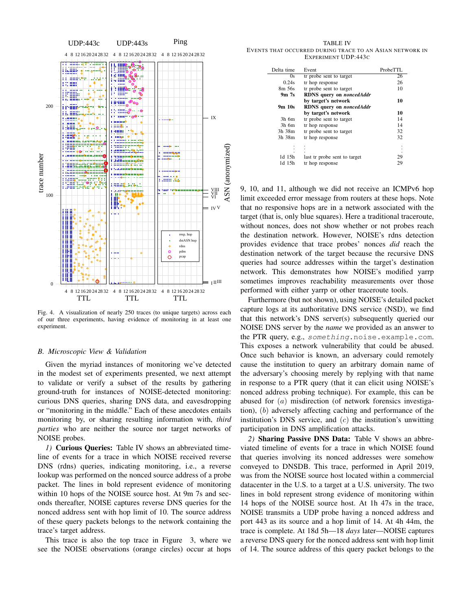

Fig. 4. A visualization of nearly 250 traces (to unique targets) across each of our three experiments, having evidence of monitoring in at least one experiment.

# *B. Microscopic View & Validation*

Given the myriad instances of monitoring we've detected in the modest set of experiments presented, we next attempt to validate or verify a subset of the results by gathering ground-truth for instances of NOISE-detected monitoring: curious DNS queries, sharing DNS data, and eavesdropping or "monitoring in the middle." Each of these anecdotes entails monitoring by, or sharing resulting information with, *third parties* who are neither the source nor target networks of NOISE probes.

*1)* Curious Queries: Table IV shows an abbreviated timeline of events for a trace in which NOISE received reverse DNS (rdns) queries, indicating monitoring, i.e., a reverse lookup was performed on the nonced source address of a probe packet. The lines in bold represent evidence of monitoring within 10 hops of the NOISE source host. At 9m 7s and seconds thereafter, NOISE captures reverse DNS queries for the nonced address sent with hop limit of 10. The source address of these query packets belongs to the network containing the trace's target address.

This trace is also the top trace in Figure 3, where we see the NOISE observations (orange circles) occur at hops

TABLE IV EVENTS THAT OCCURRED DURING TRACE TO AN ASIAN NETWORK IN EXPERIMENT UDP:443C

| Delta time | Event                                  | ProbeTTL |
|------------|----------------------------------------|----------|
| 0s         | tr probe sent to target                | 26       |
| 0.24s      | tr hop response                        | 26       |
| 8m 56s     | tr probe sent to target                | 10       |
| $9m$ 7s    | <b>RDNS</b> query on <i>noncedAddr</i> |          |
|            | by target's network                    | 10       |
| 9m 10s     | <b>RDNS</b> query on <i>noncedAddr</i> |          |
|            | by target's network                    | 10       |
| $3h$ 6m    | tr probe sent to target                | 14       |
| $3h$ 6m    | tr hop response                        | 14       |
| 3h 38m     | tr probe sent to target                | 32       |
| 3h 38m     | tr hop response                        | 32       |
|            |                                        |          |
|            |                                        |          |
| $1d$ $15h$ | last tr probe sent to target           | 29       |
| 1d 15h     | tr hop response                        | 29       |

9, 10, and 11, although we did not receive an ICMPv6 hop limit exceeded error message from routers at these hops. Note that no responsive hops are in a network associated with the target (that is, only blue squares). Here a traditional traceroute, without nonces, does not show whether or not probes reach the destination network. However, NOISE's rdns detection provides evidence that trace probes' nonces *did* reach the destination network of the target because the recursive DNS queries had source addresses within the target's destination network. This demonstrates how NOISE's modified yarrp sometimes improves reachability measurements over those performed with either yarrp or other traceroute tools.

Furthermore (but not shown), using NOISE's detailed packet capture logs at its authoritative DNS service (NSD), we find that this network's DNS server(s) subsequently queried our NOISE DNS server by the *name* we provided as an answer to the PTR query, e.g., something.noise.example.com. This exposes a network vulnerability that could be abused. Once such behavior is known, an adversary could remotely cause the institution to query an arbitrary domain name of the adversary's choosing merely by replying with that name in response to a PTR query (that it can elicit using NOISE's nonced address probing technique). For example, this can be abused for (a) misdirection (of network forensics investigation), (b) adversely affecting caching and performance of the institution's DNS service, and  $(c)$  the institution's unwitting participation in DNS amplification attacks.

*2)* Sharing Passive DNS Data: Table V shows an abbreviated timeline of events for a trace in which NOISE found that queries involving its nonced addresses were somehow conveyed to DNSDB. This trace, performed in April 2019, was from the NOISE source host located within a commercial datacenter in the U.S. to a target at a U.S. university. The two lines in bold represent strong evidence of monitoring within 14 hops of the NOISE source host. At 1h 47s in the trace, NOISE transmits a UDP probe having a nonced address and port 443 as its source and a hop limit of 14. At 4h 44m, the trace is complete. At 18d 5h—18 *days* later—NOISE captures a reverse DNS query for the nonced address sent with hop limit of 14. The source address of this query packet belongs to the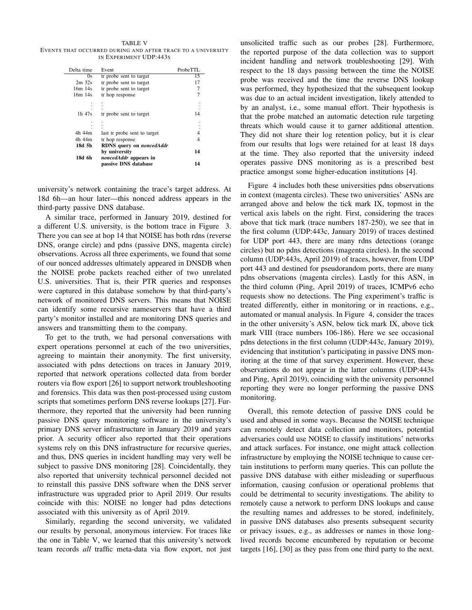TABLE V EVENTS THAT OCCURRED DURING AND AFTER TRACE TO A UNIVERSITY IN EXPERIMENT UDP:443S

| Delta time | Event                                         | ProbeTTL |
|------------|-----------------------------------------------|----------|
| 0s         | tr probe sent to target                       | 15       |
| $2m$ 32s   | tr probe sent to target                       | 17       |
| $16m$ 14s  | tr probe sent to target                       |          |
| 16m 14s    | tr hop response                               |          |
|            |                                               |          |
| $1h$ 47s   | tr probe sent to target                       | 14       |
|            |                                               |          |
|            |                                               |          |
| 4h 44m     | last tr probe sent to target                  |          |
| 4h 44m     | tr hop response                               | 4        |
| 18d 5h     | <b>RDNS</b> query on <i>noncedAddr</i>        |          |
| 18d 6h     | by university<br><i>noncedAddr</i> appears in | 14       |
|            | passive DNS database                          | 14       |

university's network containing the trace's target address. At 18d 6h—an hour later—this nonced address appears in the third-party passive DNS database.

A similar trace, performed in January 2019, destined for a different U.S. university, is the bottom trace in Figure 3. There you can see at hop 14 that NOISE has both rdns (reverse DNS, orange circle) and pdns (passive DNS, magenta circle) observations. Across all three experiments, we found that some of our nonced addresses ultimately appeared in DNSDB when the NOISE probe packets reached either of two unrelated U.S. universities. That is, their PTR queries and responses were captured in this database somehow by that third-party's network of monitored DNS servers. This means that NOISE can identify some recursive nameservers that have a third party's monitor installed and are monitoring DNS queries and answers and transmitting them to the company.

To get to the truth, we had personal conversations with expert operations personnel at each of the two universities, agreeing to maintain their anonymity. The first university, associated with pdns detections on traces in January 2019, reported that network operations collected data from border routers via flow export [26] to support network troubleshooting and forensics. This data was then post-processed using custom scripts that sometimes perform DNS reverse lookups [27]. Furthermore, they reported that the university had been running passive DNS query monitoring software in the university's primary DNS server infrastructure in January 2019 and years prior. A security officer also reported that their operations systems rely on this DNS infrastructure for recursive queries, and thus, DNS queries in incident handling may very well be subject to passive DNS monitoring [28]. Coincidentally, they also reported that university technical personnel decided not to reinstall this passive DNS software when the DNS server infrastructure was upgraded prior to April 2019. Our results coincide with this: NOISE no longer had pdns detections associated with this university as of April 2019.

Similarly, regarding the second university, we validated our results by personal, anonymous interview. For traces like the one in Table V, we learned that this university's network team records *all* traffic meta-data via flow export, not just unsolicited traffic such as our probes [28]. Furthermore, the reported purpose of the data collection was to support incident handling and network troubleshooting [29]. With respect to the 18 days passing between the time the NOISE probe was received and the time the reverse DNS lookup was performed, they hypothesized that the subsequent lookup was due to an actual incident investigation, likely attended to by an analyst, i.e., some manual effort. Their hypothesis is that the probe matched an automatic detection rule targeting threats which would cause it to garner additional attention. They did not share their log retention policy, but it is clear from our results that logs were retained for at least 18 days at the time. They also reported that the university indeed operates passive DNS monitoring as is a prescribed best practice amongst some higher-education institutions [4].

Figure 4 includes both these universities pdns observations in context (magenta circles). These two universities' ASNs are arranged above and below the tick mark IX, topmost in the vertical axis labels on the right. First, considering the traces above that tick mark (trace numbers 187-250), we see that in the first column (UDP:443c, January 2019) of traces destined for UDP port 443, there are many rdns detections (orange circles) but no pdns detections (magenta circles). In the second column (UDP:443s, April 2019) of traces, however, from UDP port 443 and destined for pseudorandom ports, there are many pdns observations (magenta circles). Lastly for this ASN, in the third column (Ping, April 2019) of traces, ICMPv6 echo requests show no detections. The Ping experiment's traffic is treated differently, either in monitoring or in reactions, e.g., automated or manual analysis. In Figure 4, consider the traces in the other university's ASN, below tick mark IX, above tick mark VIII (trace numbers 106-186). Here we see occasional pdns detections in the first column (UDP:443c, January 2019), evidencing that institution's participating in passive DNS monitoring at the time of that survey experiment. However, these observations do not appear in the latter columns (UDP:443s and Ping, April 2019), coinciding with the university personnel reporting they were no longer performing the passive DNS monitoring.

Overall, this remote detection of passive DNS could be used and abused in some ways. Because the NOISE technique can remotely detect data collection and monitors, potential adversaries could use NOISE to classify institutions' networks and attack surfaces. For instance, one might attack collection infrastructure by employing the NOISE technique to cause certain institutions to perform many queries. This can pollute the passive DNS database with either misleading or superfluous information, causing confusion or operational problems that could be detrimental to security investigations. The ability to remotely cause a network to perform DNS lookups and cause the resulting names and addresses to be stored, indefinitely, in passive DNS databases also presents subsequent security or privacy issues, e.g., as addresses or names in those longlived records become encumbered by reputation or become targets [16], [30] as they pass from one third party to the next.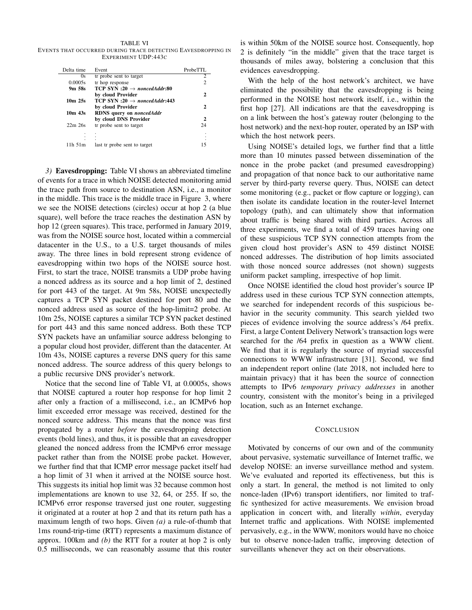TABLE VI EVENTS THAT OCCURRED DURING TRACE DETECTING EAVESDROPPING IN EXPERIMENT UDP:443C

| Delta time  | Event                                    | ProbeTTL             |
|-------------|------------------------------------------|----------------------|
| 0s          | tr probe sent to target                  | 2                    |
| 0.0005s     | tr hop response                          | $\overline{c}$       |
| 9m 58s      | TCP SYN :20 $\rightarrow$ noncedAddr:80  |                      |
|             | by cloud Provider                        | 2                    |
| $10m$ $25s$ | TCP SYN :20 $\rightarrow$ noncedAddr:443 |                      |
|             | by cloud Provider                        | 2                    |
| $10m$ 43s   | RDNS query on noncedAddr                 |                      |
|             | by cloud DNS Provider                    | $\mathbf{2}$         |
| $22m$ $26s$ | tr probe sent to target                  | 24                   |
|             |                                          | $\ddot{\phantom{0}}$ |
|             |                                          |                      |
| 11h 51m     | last tr probe sent to target             | 15                   |

*3)* Eavesdropping: Table VI shows an abbreviated timeline of events for a trace in which NOISE detected monitoring amid the trace path from source to destination ASN, i.e., a monitor in the middle. This trace is the middle trace in Figure 3, where we see the NOISE detections (circles) occur at hop 2 (a blue square), well before the trace reaches the destination ASN by hop 12 (green squares). This trace, performed in January 2019, was from the NOISE source host, located within a commercial datacenter in the U.S., to a U.S. target thousands of miles away. The three lines in bold represent strong evidence of eavesdropping within two hops of the NOISE source host. First, to start the trace, NOISE transmits a UDP probe having a nonced address as its source and a hop limit of 2, destined for port 443 of the target. At 9m 58s, NOISE unexpectedly captures a TCP SYN packet destined for port 80 and the nonced address used as source of the hop-limit=2 probe. At 10m 25s, NOISE captures a similar TCP SYN packet destined for port 443 and this same nonced address. Both these TCP SYN packets have an unfamiliar source address belonging to a popular cloud host provider, different than the datacenter. At 10m 43s, NOISE captures a reverse DNS query for this same nonced address. The source address of this query belongs to a public recursive DNS provider's network.

Notice that the second line of Table VI, at 0.0005s, shows that NOISE captured a router hop response for hop limit 2 after only a fraction of a millisecond, i.e., an ICMPv6 hop limit exceeded error message was received, destined for the nonced source address. This means that the nonce was first propagated by a router *before* the eavesdropping detection events (bold lines), and thus, it is possible that an eavesdropper gleaned the nonced address from the ICMPv6 error message packet rather than from the NOISE probe packet. However, we further find that that ICMP error message packet itself had a hop limit of 31 when it arrived at the NOISE source host. This suggests its initial hop limit was 32 because common host implementations are known to use 32, 64, or 255. If so, the ICMPv6 error response traversed just one router, suggesting it originated at a router at hop 2 and that its return path has a maximum length of two hops. Given *(a)* a rule-of-thumb that 1ms round-trip-time (RTT) represents a maximum distance of approx. 100km and *(b)* the RTT for a router at hop 2 is only 0.5 milliseconds, we can reasonably assume that this router is within 50km of the NOISE source host. Consequently, hop 2 is definitely "in the middle" given that the trace target is thousands of miles away, bolstering a conclusion that this evidences eavesdropping.

With the help of the host network's architect, we have eliminated the possibility that the eavesdropping is being performed in the NOISE host network itself, i.e., within the first hop [27]. All indications are that the eavesdropping is on a link between the host's gateway router (belonging to the host network) and the next-hop router, operated by an ISP with which the host network peers.

Using NOISE's detailed logs, we further find that a little more than 10 minutes passed between dissemination of the nonce in the probe packet (and presumed eavesdropping) and propagation of that nonce back to our authoritative name server by third-party reverse query. Thus, NOISE can detect some monitoring (e.g., packet or flow capture or logging), can then isolate its candidate location in the router-level Internet topology (path), and can ultimately show that information about traffic is being shared with third parties. Across all three experiments, we find a total of 459 traces having one of these suspicious TCP SYN connection attempts from the given cloud host provider's ASN to 459 distinct NOISE nonced addresses. The distribution of hop limits associated with those nonced source addresses (not shown) suggests uniform packet sampling, irrespective of hop limit.

Once NOISE identified the cloud host provider's source IP address used in these curious TCP SYN connection attempts, we searched for independent records of this suspicious behavior in the security community. This search yielded two pieces of evidence involving the source address's /64 prefix. First, a large Content Delivery Network's transaction logs were searched for the /64 prefix in question as a WWW client. We find that it is regularly the source of myriad successful connections to WWW infrastructure [31]. Second, we find an independent report online (late 2018, not included here to maintain privacy) that it has been the source of connection attempts to IPv6 *temporary privacy addresses* in another country, consistent with the monitor's being in a privileged location, such as an Internet exchange.

# **CONCLUSION**

Motivated by concerns of our own and of the community about pervasive, systematic surveillance of Internet traffic, we develop NOISE: an inverse surveillance method and system. We've evaluated and reported its effectiveness, but this is only a start. In general, the method is not limited to only nonce-laden (IPv6) transport identifiers, nor limited to traffic synthesized for active measurements. We envision broad application in concert with, and literally *within*, everyday Internet traffic and applications. With NOISE implemented pervasively, e.g., in the WWW, monitors would have no choice but to observe nonce-laden traffic, improving detection of surveillants whenever they act on their observations.